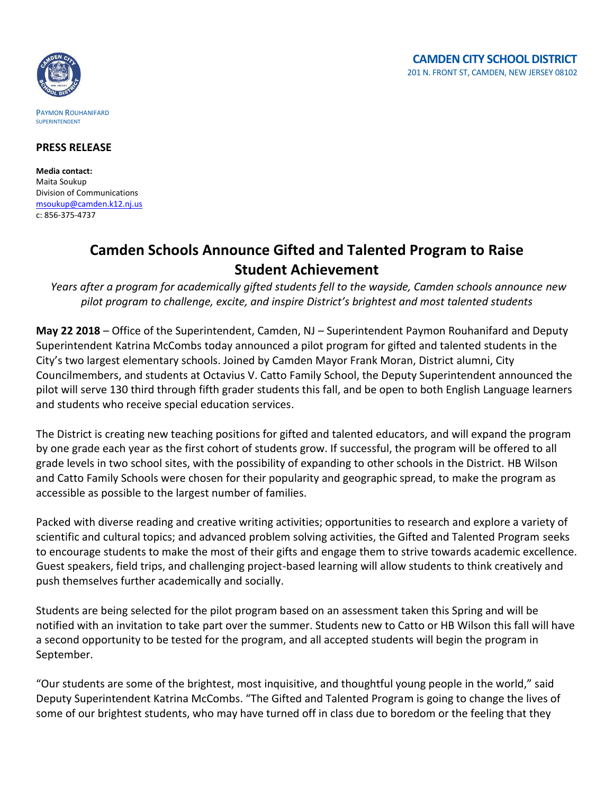

## **PRESS RELEASE**

**Media contact:** Maita Soukup Division of Communications [msoukup@camden.k12.nj.us](mailto:msoukup@camden.k12.nj.us) c: 856-375-4737

## **Camden Schools Announce Gifted and Talented Program to Raise Student Achievement**

*Years after a program for academically gifted students fell to the wayside, Camden schools announce new pilot program to challenge, excite, and inspire District's brightest and most talented students* 

**May 22 2018** – Office of the Superintendent, Camden, NJ – Superintendent Paymon Rouhanifard and Deputy Superintendent Katrina McCombs today announced a pilot program for gifted and talented students in the City's two largest elementary schools. Joined by Camden Mayor Frank Moran, District alumni, City Councilmembers, and students at Octavius V. Catto Family School, the Deputy Superintendent announced the pilot will serve 130 third through fifth grader students this fall, and be open to both English Language learners and students who receive special education services.

The District is creating new teaching positions for gifted and talented educators, and will expand the program by one grade each year as the first cohort of students grow. If successful, the program will be offered to all grade levels in two school sites, with the possibility of expanding to other schools in the District. HB Wilson and Catto Family Schools were chosen for their popularity and geographic spread, to make the program as accessible as possible to the largest number of families.

Packed with diverse reading and creative writing activities; opportunities to research and explore a variety of scientific and cultural topics; and advanced problem solving activities, the Gifted and Talented Program seeks to encourage students to make the most of their gifts and engage them to strive towards academic excellence. Guest speakers, field trips, and challenging project-based learning will allow students to think creatively and push themselves further academically and socially.

Students are being selected for the pilot program based on an assessment taken this Spring and will be notified with an invitation to take part over the summer. Students new to Catto or HB Wilson this fall will have a second opportunity to be tested for the program, and all accepted students will begin the program in September.

"Our students are some of the brightest, most inquisitive, and thoughtful young people in the world," said Deputy Superintendent Katrina McCombs. "The Gifted and Talented Program is going to change the lives of some of our brightest students, who may have turned off in class due to boredom or the feeling that they